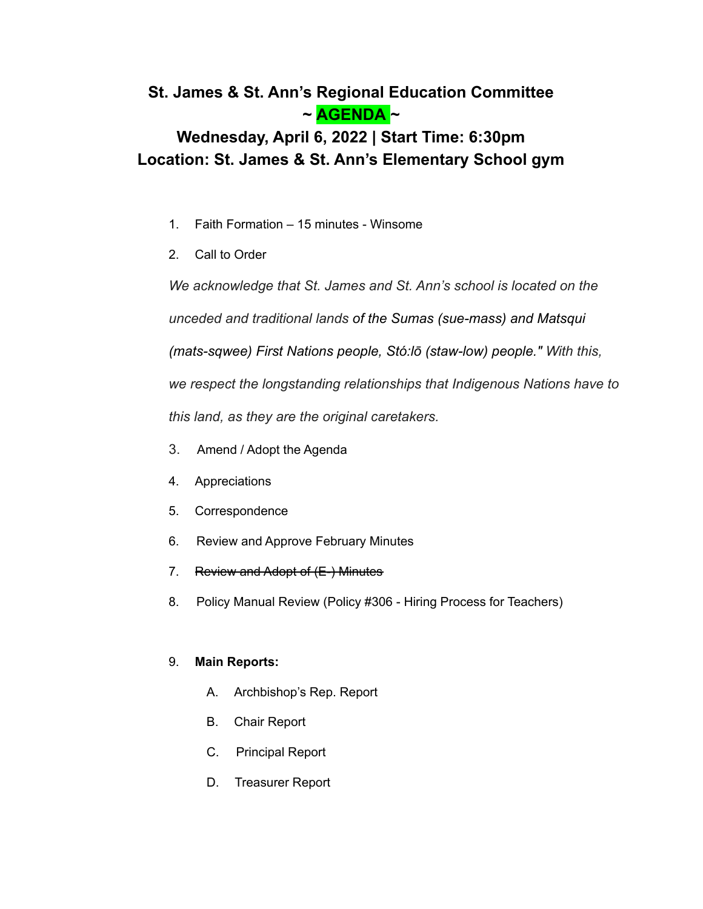## **St. James & St. Ann's Regional Education Committee ~ AGENDA ~**

# **Wednesday, April 6, 2022 | Start Time: 6:30pm Location: St. James & St. Ann's Elementary School gym**

- 1. Faith Formation 15 minutes Winsome
- 2. Call to Order

*We acknowledge that St. James and St. Ann's school is located on the*

*unceded and traditional lands of the Sumas (sue-mass) and Matsqui*

*(mats-sqwee) First Nations people, Stó:lō (staw-low) people." With this,*

*we respect the longstanding relationships that Indigenous Nations have to*

*this land, as they are the original caretakers.*

- 3. Amend / Adopt the Agenda
- 4. Appreciations
- 5. Correspondence
- 6. Review and Approve February Minutes
- 7. Review and Adopt of (E-) Minutes
- 8. Policy Manual Review (Policy #306 Hiring Process for Teachers)

### 9. **Main Reports:**

- A. Archbishop's Rep. Report
- B. Chair Report
- C. Principal Report
- D. Treasurer Report